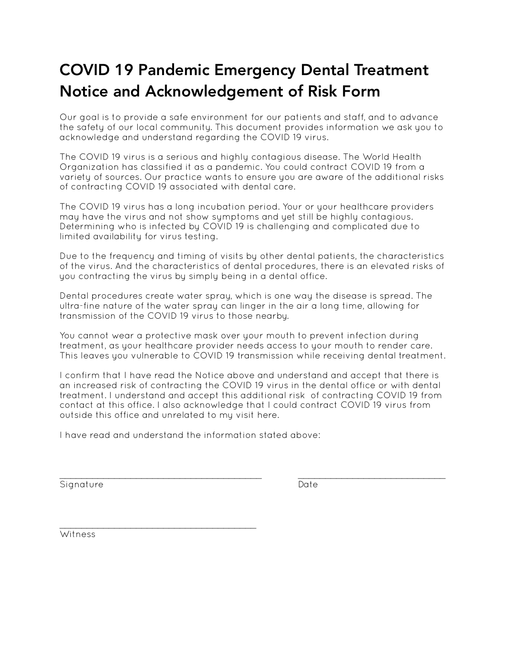## COVID 19 Pandemic Emergency Dental Treatment Notice and Acknowledgement of Risk Form

Our goal is to provide a safe environment for our patients and staff, and to advance the safety of our local community. This document provides information we ask you to acknowledge and understand regarding the COVID 19 virus.

The COVID 19 virus is a serious and highly contagious disease. The World Health Organization has classified it as a pandemic. You could contract COVID 19 from a variety of sources. Our practice wants to ensure you are aware of the additional risks of contracting COVID 19 associated with dental care.

The COVID 19 virus has a long incubation period. Your or your healthcare providers may have the virus and not show symptoms and yet still be highly contagious. Determining who is infected by COVID 19 is challenging and complicated due to limited availability for virus testing.

Due to the frequency and timing of visits by other dental patients, the characteristics of the virus. And the characteristics of dental procedures, there is an elevated risks of you contracting the virus by simply being in a dental office.

Dental procedures create water spray, which is one way the disease is spread. The ultra-fine nature of the water spray can linger in the air a long time, allowing for transmission of the COVID 19 virus to those nearby.

You cannot wear a protective mask over your mouth to prevent infection during treatment, as your healthcare provider needs access to your mouth to render care. This leaves you vulnerable to COVID 19 transmission while receiving dental treatment.

I confirm that I have read the Notice above and understand and accept that there is an increased risk of contracting the COVID 19 virus in the dental office or with dental treatment. I understand and accept this additional risk of contracting COVID 19 from contact at this office. I also acknowledge that I could contract COVID 19 virus from outside this office and unrelated to my visit here.

 $\overline{\phantom{a}}$  , and the contribution of the contribution of the contribution of the contribution of the contribution of the contribution of the contribution of the contribution of the contribution of the contribution of the

I have read and understand the information stated above:

Signature Date Date

 $\overline{\phantom{a}}$  , and the set of the set of the set of the set of the set of the set of the set of the set of the set of the set of the set of the set of the set of the set of the set of the set of the set of the set of the s Witness